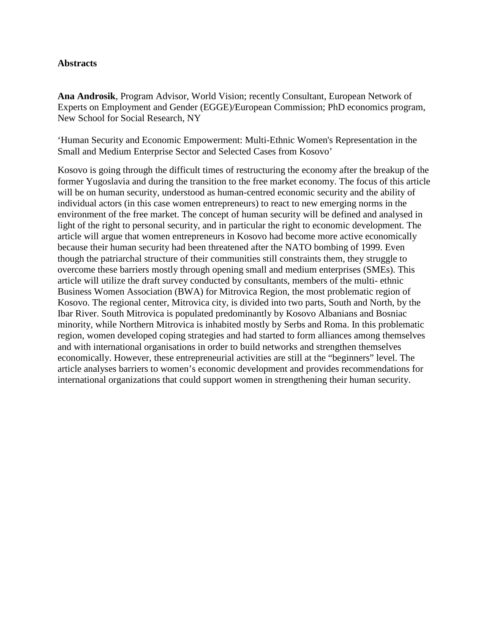#### **Abstracts**

**Ana Androsik**, Program Advisor, World Vision; recently Consultant, European Network of Experts on Employment and Gender (EGGE)/European Commission; PhD economics program, New School for Social Research, NY

'Human Security and Economic Empowerment: Multi-Ethnic Women's Representation in the Small and Medium Enterprise Sector and Selected Cases from Kosovo'

Kosovo is going through the difficult times of restructuring the economy after the breakup of the former Yugoslavia and during the transition to the free market economy. The focus of this article will be on human security, understood as human-centred economic security and the ability of individual actors (in this case women entrepreneurs) to react to new emerging norms in the environment of the free market. The concept of human security will be defined and analysed in light of the right to personal security, and in particular the right to economic development. The article will argue that women entrepreneurs in Kosovo had become more active economically because their human security had been threatened after the NATO bombing of 1999. Even though the patriarchal structure of their communities still constraints them, they struggle to overcome these barriers mostly through opening small and medium enterprises (SMEs). This article will utilize the draft survey conducted by consultants, members of the multi- ethnic Business Women Association (BWA) for Mitrovica Region, the most problematic region of Kosovo. The regional center, Mitrovica city, is divided into two parts, South and North, by the Ibar River. South Mitrovica is populated predominantly by Kosovo Albanians and Bosniac minority, while Northern Mitrovica is inhabited mostly by Serbs and Roma. In this problematic region, women developed coping strategies and had started to form alliances among themselves and with international organisations in order to build networks and strengthen themselves economically. However, these entrepreneurial activities are still at the "beginners" level. The article analyses barriers to women's economic development and provides recommendations for international organizations that could support women in strengthening their human security.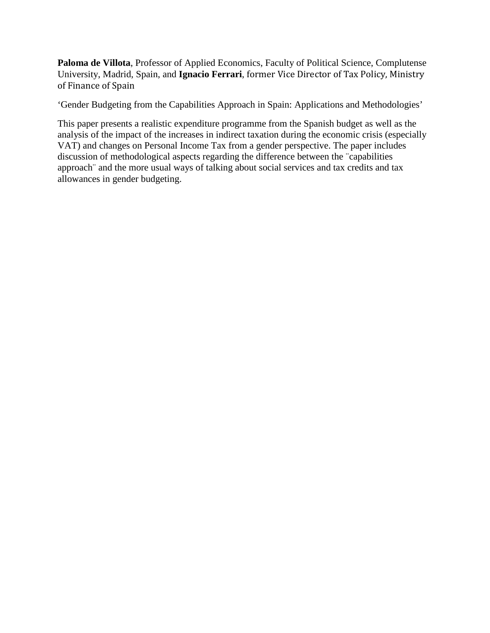**Paloma de Villota**, Professor of Applied Economics, Faculty of Political Science, Complutense University, Madrid, Spain, and **Ignacio Ferrari**, former Vice Director of Tax Policy, Ministry of Finance of Spain

'Gender Budgeting from the Capabilities Approach in Spain: Applications and Methodologies'

This paper presents a realistic expenditure programme from the Spanish budget as well as the analysis of the impact of the increases in indirect taxation during the economic crisis (especially VAT) and changes on Personal Income Tax from a gender perspective. The paper includes discussion of methodological aspects regarding the difference between the ¨capabilities approach¨ and the more usual ways of talking about social services and tax credits and tax allowances in gender budgeting.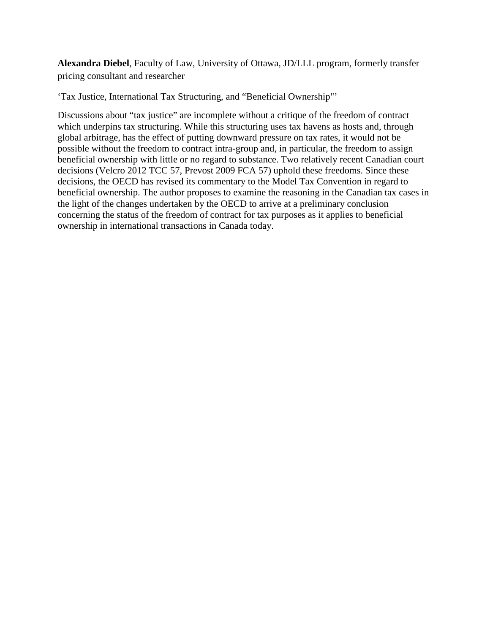**Alexandra Diebel**, Faculty of Law, University of Ottawa, JD/LLL program, formerly transfer pricing consultant and researcher

'Tax Justice, International Tax Structuring, and "Beneficial Ownership"'

Discussions about "tax justice" are incomplete without a critique of the freedom of contract which underpins tax structuring. While this structuring uses tax havens as hosts and, through global arbitrage, has the effect of putting downward pressure on tax rates, it would not be possible without the freedom to contract intra-group and, in particular, the freedom to assign beneficial ownership with little or no regard to substance. Two relatively recent Canadian court decisions (Velcro 2012 TCC 57, Prevost 2009 FCA 57) uphold these freedoms. Since these decisions, the OECD has revised its commentary to the Model Tax Convention in regard to beneficial ownership. The author proposes to examine the reasoning in the Canadian tax cases in the light of the changes undertaken by the OECD to arrive at a preliminary conclusion concerning the status of the freedom of contract for tax purposes as it applies to beneficial ownership in international transactions in Canada today.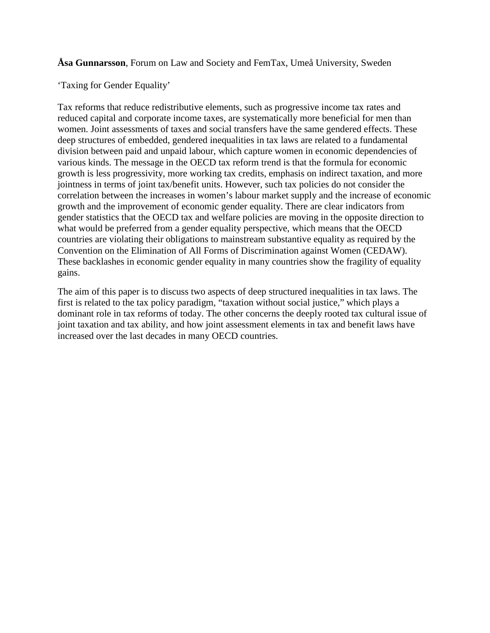**Åsa Gunnarsson**, Forum on Law and Society and FemTax, Umeå University, Sweden

'Taxing for Gender Equality'

Tax reforms that reduce redistributive elements, such as progressive income tax rates and reduced capital and corporate income taxes, are systematically more beneficial for men than women. Joint assessments of taxes and social transfers have the same gendered effects. These deep structures of embedded, gendered inequalities in tax laws are related to a fundamental division between paid and unpaid labour, which capture women in economic dependencies of various kinds. The message in the OECD tax reform trend is that the formula for economic growth is less progressivity, more working tax credits, emphasis on indirect taxation, and more jointness in terms of joint tax/benefit units. However, such tax policies do not consider the correlation between the increases in women's labour market supply and the increase of economic growth and the improvement of economic gender equality. There are clear indicators from gender statistics that the OECD tax and welfare policies are moving in the opposite direction to what would be preferred from a gender equality perspective, which means that the OECD countries are violating their obligations to mainstream substantive equality as required by the Convention on the Elimination of All Forms of Discrimination against Women (CEDAW). These backlashes in economic gender equality in many countries show the fragility of equality gains.

The aim of this paper is to discuss two aspects of deep structured inequalities in tax laws. The first is related to the tax policy paradigm, "taxation without social justice," which plays a dominant role in tax reforms of today. The other concerns the deeply rooted tax cultural issue of joint taxation and tax ability, and how joint assessment elements in tax and benefit laws have increased over the last decades in many OECD countries.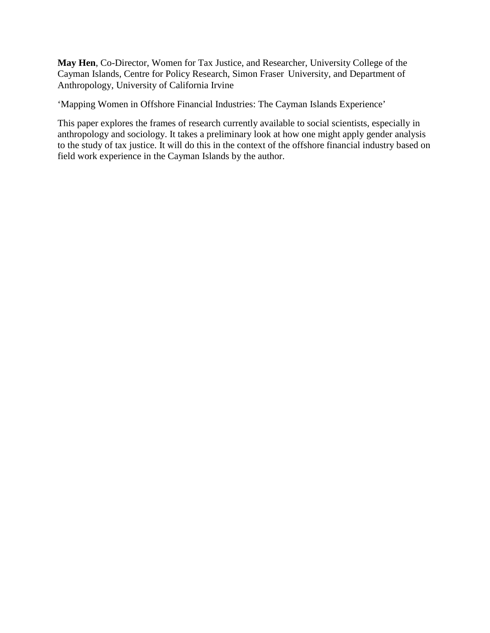**May Hen**, Co-Director, Women for Tax Justice, and Researcher, University College of the Cayman Islands, Centre for Policy Research, Simon Fraser University, and Department of Anthropology, University of California Irvine

'Mapping Women in Offshore Financial Industries: The Cayman Islands Experience'

This paper explores the frames of research currently available to social scientists, especially in anthropology and sociology. It takes a preliminary look at how one might apply gender analysis to the study of tax justice. It will do this in the context of the offshore financial industry based on field work experience in the Cayman Islands by the author.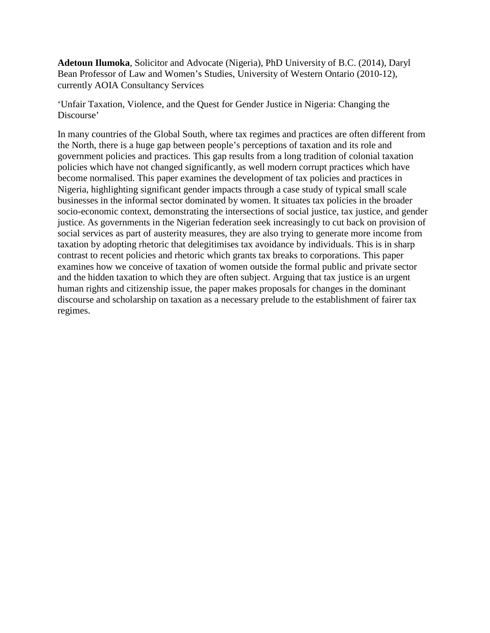**Adetoun Ilumoka**, Solicitor and Advocate (Nigeria), PhD University of B.C. (2014), Daryl Bean Professor of Law and Women's Studies, University of Western Ontario (2010-12), currently AOIA Consultancy Services

'Unfair Taxation, Violence, and the Quest for Gender Justice in Nigeria: Changing the Discourse'

In many countries of the Global South, where tax regimes and practices are often different from the North, there is a huge gap between people's perceptions of taxation and its role and government policies and practices. This gap results from a long tradition of colonial taxation policies which have not changed significantly, as well modern corrupt practices which have become normalised. This paper examines the development of tax policies and practices in Nigeria, highlighting significant gender impacts through a case study of typical small scale businesses in the informal sector dominated by women. It situates tax policies in the broader socio-economic context, demonstrating the intersections of social justice, tax justice, and gender justice. As governments in the Nigerian federation seek increasingly to cut back on provision of social services as part of austerity measures, they are also trying to generate more income from taxation by adopting rhetoric that delegitimises tax avoidance by individuals. This is in sharp contrast to recent policies and rhetoric which grants tax breaks to corporations. This paper examines how we conceive of taxation of women outside the formal public and private sector and the hidden taxation to which they are often subject. Arguing that tax justice is an urgent human rights and citizenship issue, the paper makes proposals for changes in the dominant discourse and scholarship on taxation as a necessary prelude to the establishment of fairer tax regimes.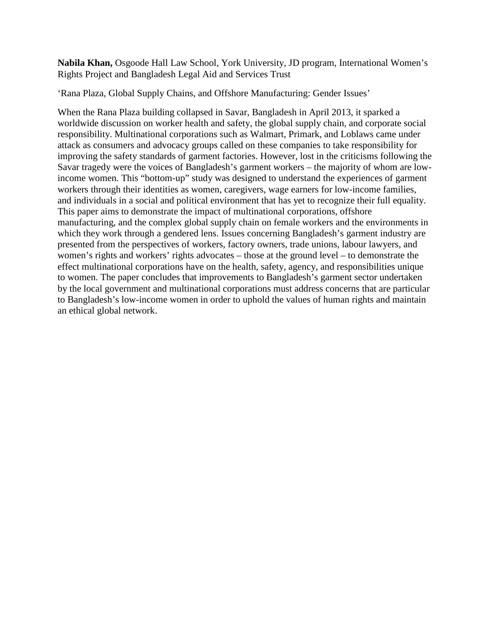**Nabila Khan,** Osgoode Hall Law School, York University, JD program, International Women's Rights Project and Bangladesh Legal Aid and Services Trust

'Rana Plaza, Global Supply Chains, and Offshore Manufacturing: Gender Issues'

When the Rana Plaza building collapsed in Savar, Bangladesh in April 2013, it sparked a worldwide discussion on worker health and safety, the global supply chain, and corporate social responsibility. Multinational corporations such as Walmart, Primark, and Loblaws came under attack as consumers and advocacy groups called on these companies to take responsibility for improving the safety standards of garment factories. However, lost in the criticisms following the Savar tragedy were the voices of Bangladesh's garment workers – the majority of whom are lowincome women. This "bottom-up" study was designed to understand the experiences of garment workers through their identities as women, caregivers, wage earners for low-income families, and individuals in a social and political environment that has yet to recognize their full equality. This paper aims to demonstrate the impact of multinational corporations, offshore manufacturing, and the complex global supply chain on female workers and the environments in which they work through a gendered lens. Issues concerning Bangladesh's garment industry are presented from the perspectives of workers, factory owners, trade unions, labour lawyers, and women's rights and workers' rights advocates – those at the ground level – to demonstrate the effect multinational corporations have on the health, safety, agency, and responsibilities unique to women. The paper concludes that improvements to Bangladesh's garment sector undertaken by the local government and multinational corporations must address concerns that are particular to Bangladesh's low-income women in order to uphold the values of human rights and maintain an ethical global network.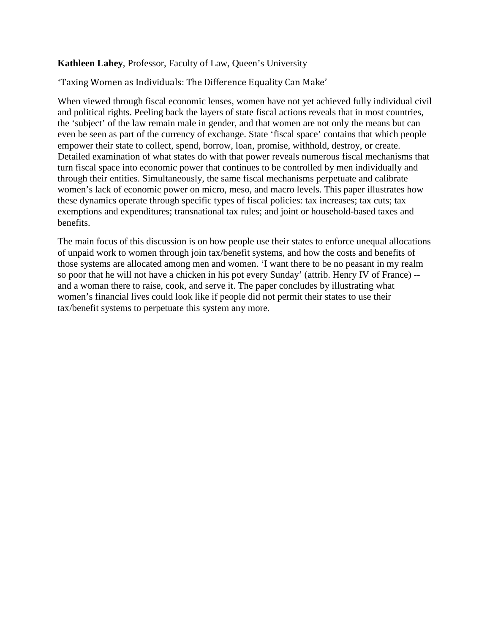## **Kathleen Lahey**, Professor, Faculty of Law, Queen's University

# 'Taxing Women as Individuals: The Difference Equality Can Make'

When viewed through fiscal economic lenses, women have not yet achieved fully individual civil and political rights. Peeling back the layers of state fiscal actions reveals that in most countries, the 'subject' of the law remain male in gender, and that women are not only the means but can even be seen as part of the currency of exchange. State 'fiscal space' contains that which people empower their state to collect, spend, borrow, loan, promise, withhold, destroy, or create. Detailed examination of what states do with that power reveals numerous fiscal mechanisms that turn fiscal space into economic power that continues to be controlled by men individually and through their entities. Simultaneously, the same fiscal mechanisms perpetuate and calibrate women's lack of economic power on micro, meso, and macro levels. This paper illustrates how these dynamics operate through specific types of fiscal policies: tax increases; tax cuts; tax exemptions and expenditures; transnational tax rules; and joint or household-based taxes and benefits.

The main focus of this discussion is on how people use their states to enforce unequal allocations of unpaid work to women through join tax/benefit systems, and how the costs and benefits of those systems are allocated among men and women. 'I want there to be no peasant in my realm so poor that he will not have a chicken in his pot every Sunday' (attrib. Henry IV of France) - and a woman there to raise, cook, and serve it. The paper concludes by illustrating what women's financial lives could look like if people did not permit their states to use their tax/benefit systems to perpetuate this system any more.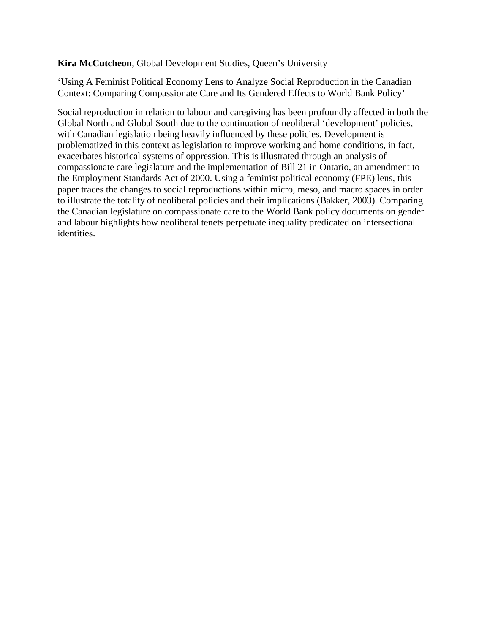## **Kira McCutcheon**, Global Development Studies, Queen's University

'Using A Feminist Political Economy Lens to Analyze Social Reproduction in the Canadian Context: Comparing Compassionate Care and Its Gendered Effects to World Bank Policy'

Social reproduction in relation to labour and caregiving has been profoundly affected in both the Global North and Global South due to the continuation of neoliberal 'development' policies, with Canadian legislation being heavily influenced by these policies. Development is problematized in this context as legislation to improve working and home conditions, in fact, exacerbates historical systems of oppression. This is illustrated through an analysis of compassionate care legislature and the implementation of Bill 21 in Ontario, an amendment to the Employment Standards Act of 2000. Using a feminist political economy (FPE) lens, this paper traces the changes to social reproductions within micro, meso, and macro spaces in order to illustrate the totality of neoliberal policies and their implications (Bakker, 2003). Comparing the Canadian legislature on compassionate care to the World Bank policy documents on gender and labour highlights how neoliberal tenets perpetuate inequality predicated on intersectional identities.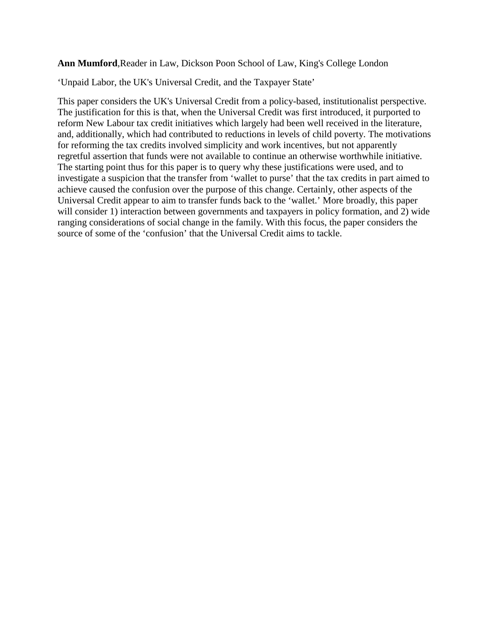**Ann Mumford**,Reader in Law, Dickson Poon School of Law, King's College London

'Unpaid Labor, the UK's Universal Credit, and the Taxpayer State'

This paper considers the UK's Universal Credit from a policy-based, institutionalist perspective. The justification for this is that, when the Universal Credit was first introduced, it purported to reform New Labour tax credit initiatives which largely had been well received in the literature, and, additionally, which had contributed to reductions in levels of child poverty. The motivations for reforming the tax credits involved simplicity and work incentives, but not apparently regretful assertion that funds were not available to continue an otherwise worthwhile initiative. The starting point thus for this paper is to query why these justifications were used, and to investigate a suspicion that the transfer from 'wallet to purse' that the tax credits in part aimed to achieve caused the confusion over the purpose of this change. Certainly, other aspects of the Universal Credit appear to aim to transfer funds back to the 'wallet.' More broadly, this paper will consider 1) interaction between governments and taxpayers in policy formation, and 2) wide ranging considerations of social change in the family. With this focus, the paper considers the source of some of the 'confusion' that the Universal Credit aims to tackle.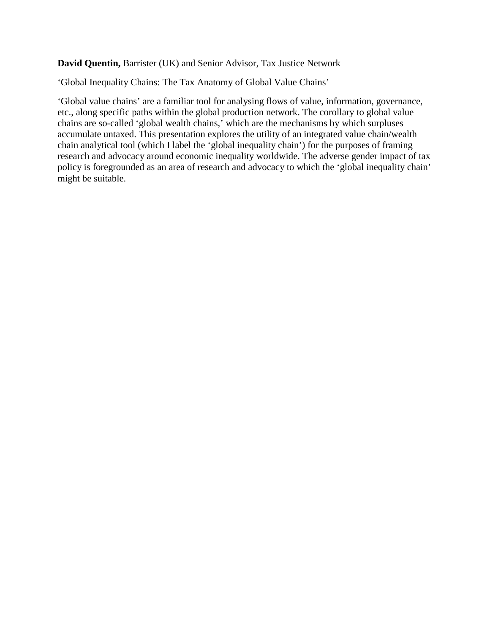**David Quentin,** Barrister (UK) and Senior Advisor, Tax Justice Network

'Global Inequality Chains: The Tax Anatomy of Global Value Chains'

'Global value chains' are a familiar tool for analysing flows of value, information, governance, etc., along specific paths within the global production network. The corollary to global value chains are so-called 'global wealth chains,' which are the mechanisms by which surpluses accumulate untaxed. This presentation explores the utility of an integrated value chain/wealth chain analytical tool (which I label the 'global inequality chain') for the purposes of framing research and advocacy around economic inequality worldwide. The adverse gender impact of tax policy is foregrounded as an area of research and advocacy to which the 'global inequality chain' might be suitable.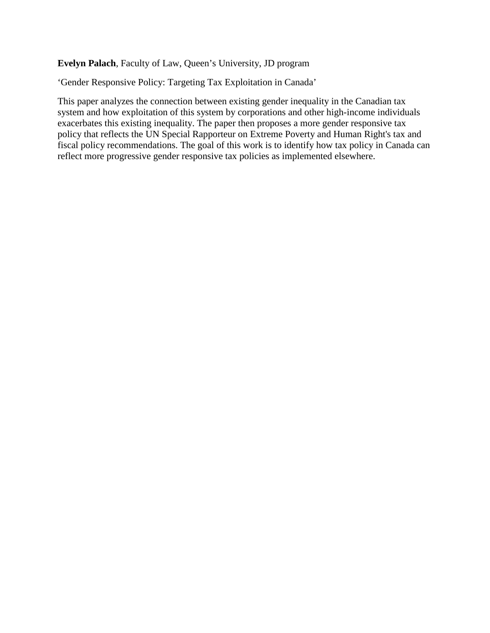## **Evelyn Palach**, Faculty of Law, Queen's University, JD program

'Gender Responsive Policy: Targeting Tax Exploitation in Canada'

This paper analyzes the connection between existing gender inequality in the Canadian tax system and how exploitation of this system by corporations and other high-income individuals exacerbates this existing inequality. The paper then proposes a more gender responsive tax policy that reflects the UN Special Rapporteur on Extreme Poverty and Human Right's tax and fiscal policy recommendations. The goal of this work is to identify how tax policy in Canada can reflect more progressive gender responsive tax policies as implemented elsewhere.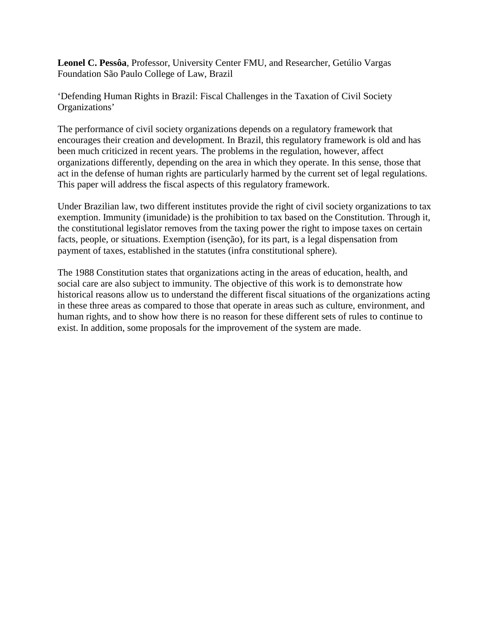**Leonel C. Pessôa**, Professor, University Center FMU, and Researcher, Getúlio Vargas Foundation São Paulo College of Law, Brazil

'Defending Human Rights in Brazil: Fiscal Challenges in the Taxation of Civil Society Organizations'

The performance of civil society organizations depends on a regulatory framework that encourages their creation and development. In Brazil, this regulatory framework is old and has been much criticized in recent years. The problems in the regulation, however, affect organizations differently, depending on the area in which they operate. In this sense, those that act in the defense of human rights are particularly harmed by the current set of legal regulations. This paper will address the fiscal aspects of this regulatory framework.

Under Brazilian law, two different institutes provide the right of civil society organizations to tax exemption. Immunity (imunidade) is the prohibition to tax based on the Constitution. Through it, the constitutional legislator removes from the taxing power the right to impose taxes on certain facts, people, or situations. Exemption (isenção), for its part, is a legal dispensation from payment of taxes, established in the statutes (infra constitutional sphere).

The 1988 Constitution states that organizations acting in the areas of education, health, and social care are also subject to immunity. The objective of this work is to demonstrate how historical reasons allow us to understand the different fiscal situations of the organizations acting in these three areas as compared to those that operate in areas such as culture, environment, and human rights, and to show how there is no reason for these different sets of rules to continue to exist. In addition, some proposals for the improvement of the system are made.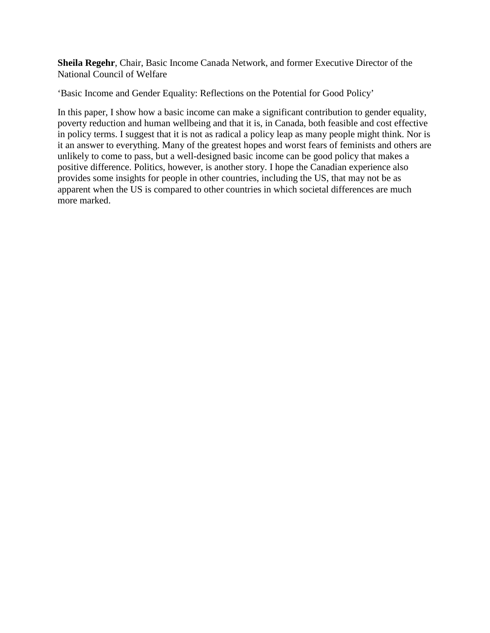**Sheila Regehr**, Chair, Basic Income Canada Network, and former Executive Director of the National Council of Welfare

'Basic Income and Gender Equality: Reflections on the Potential for Good Policy'

In this paper, I show how a basic income can make a significant contribution to gender equality, poverty reduction and human wellbeing and that it is, in Canada, both feasible and cost effective in policy terms. I suggest that it is not as radical a policy leap as many people might think. Nor is it an answer to everything. Many of the greatest hopes and worst fears of feminists and others are unlikely to come to pass, but a well-designed basic income can be good policy that makes a positive difference. Politics, however, is another story. I hope the Canadian experience also provides some insights for people in other countries, including the US, that may not be as apparent when the US is compared to other countries in which societal differences are much more marked.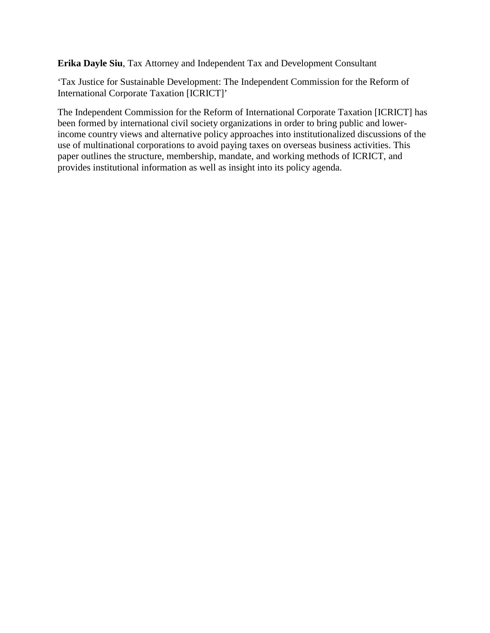**Erika Dayle Siu**, Tax Attorney and Independent Tax and Development Consultant

'Tax Justice for Sustainable Development: The Independent Commission for the Reform of International Corporate Taxation [ICRICT]'

The Independent Commission for the Reform of International Corporate Taxation [ICRICT] has been formed by international civil society organizations in order to bring public and lowerincome country views and alternative policy approaches into institutionalized discussions of the use of multinational corporations to avoid paying taxes on overseas business activities. This paper outlines the structure, membership, mandate, and working methods of ICRICT, and provides institutional information as well as insight into its policy agenda.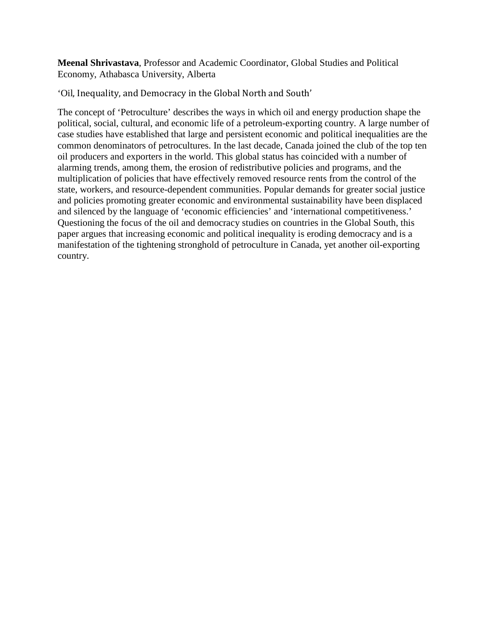**Meenal Shrivastava**, Professor and Academic Coordinator, Global Studies and Political Economy, Athabasca University, Alberta

'Oil, Inequality, and Democracy in the Global North and South'

The concept of 'Petroculture' describes the ways in which oil and energy production shape the political, social, cultural, and economic life of a petroleum-exporting country. A large number of case studies have established that large and persistent economic and political inequalities are the common denominators of petrocultures. In the last decade, Canada joined the club of the top ten oil producers and exporters in the world. This global status has coincided with a number of alarming trends, among them, the erosion of redistributive policies and programs, and the multiplication of policies that have effectively removed resource rents from the control of the state, workers, and resource-dependent communities. Popular demands for greater social justice and policies promoting greater economic and environmental sustainability have been displaced and silenced by the language of 'economic efficiencies' and 'international competitiveness.' Questioning the focus of the oil and democracy studies on countries in the Global South, this paper argues that increasing economic and political inequality is eroding democracy and is a manifestation of the tightening stronghold of petroculture in Canada, yet another oil-exporting country.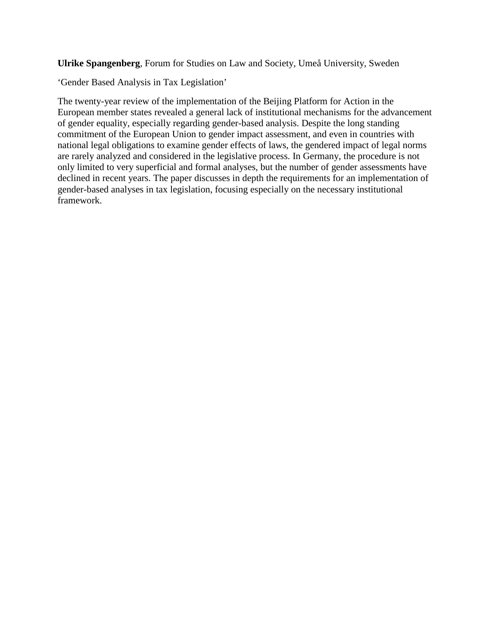**Ulrike Spangenberg**, Forum for Studies on Law and Society, Umeå University, Sweden

'Gender Based Analysis in Tax Legislation'

The twenty-year review of the implementation of the Beijing Platform for Action in the European member states revealed a general lack of institutional mechanisms for the advancement of gender equality, especially regarding gender-based analysis. Despite the long standing commitment of the European Union to gender impact assessment, and even in countries with national legal obligations to examine gender effects of laws, the gendered impact of legal norms are rarely analyzed and considered in the legislative process. In Germany, the procedure is not only limited to very superficial and formal analyses, but the number of gender assessments have declined in recent years. The paper discusses in depth the requirements for an implementation of gender-based analyses in tax legislation, focusing especially on the necessary institutional framework.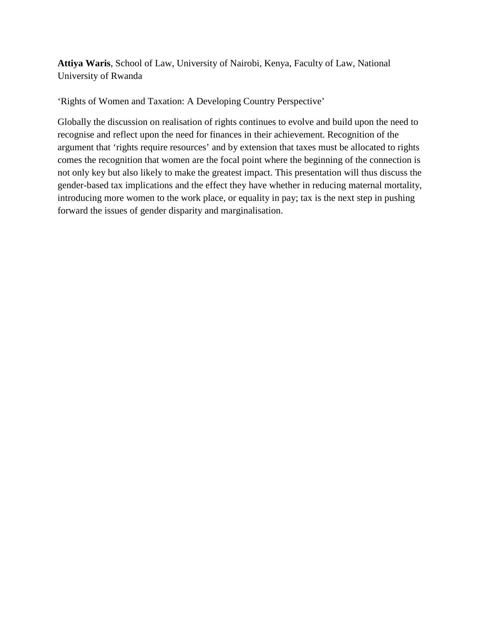**Attiya Waris**, School of Law, University of Nairobi, Kenya, Faculty of Law, National University of Rwanda

'Rights of Women and Taxation: A Developing Country Perspective'

Globally the discussion on realisation of rights continues to evolve and build upon the need to recognise and reflect upon the need for finances in their achievement. Recognition of the argument that 'rights require resources' and by extension that taxes must be allocated to rights comes the recognition that women are the focal point where the beginning of the connection is not only key but also likely to make the greatest impact. This presentation will thus discuss the gender-based tax implications and the effect they have whether in reducing maternal mortality, introducing more women to the work place, or equality in pay; tax is the next step in pushing forward the issues of gender disparity and marginalisation.